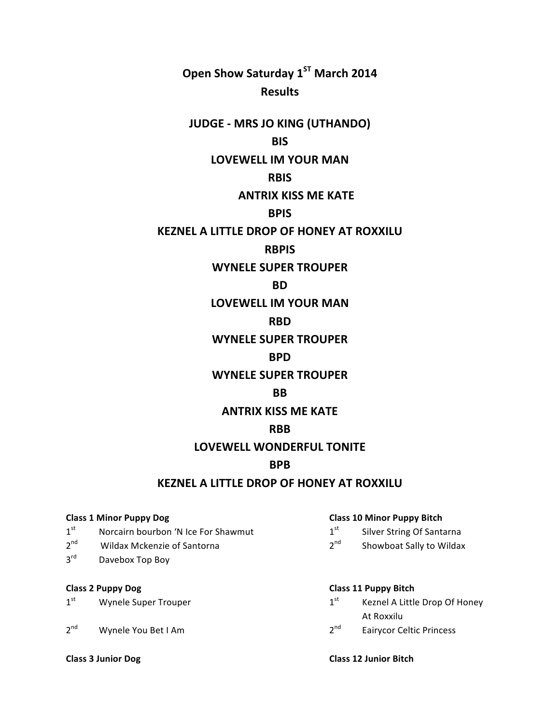**Open Show Saturday 1<sup>ST</sup> March 2014 Results**

# **JUDGE - MRS JO KING (UTHANDO)**

## **BIS**

### **LOVEWELL IM YOUR MAN**

### **RBIS**

## **ANTRIX KISS ME KATE**

## **BPIS**

## **KEZNEL A LITTLE DROP OF HONEY AT ROXXILU**

### **RBPIS**

## **WYNELE SUPER TROUPER**

#### **BD**

## **LOVEWELL IM YOUR MAN**

## **RBD**

## **WYNELE SUPER TROUPER**

## **BPD**

## **WYNELE SUPER TROUPER**

### **BB**

## **ANTRIX KISS ME KATE**

### **RBB**

### **LOVEWELL WONDERFUL TONITE**

## **BPB**

## **KEZNEL A LITTLE DROP OF HONEY AT ROXXILU**

- $1<sup>st</sup>$  Norcairn bourbon 'N Ice For Shawmut  $1<sup>st</sup>$  Silver String Of Santarna
- $2^{nd}$  Wildax Mckenzie of Santorna  $2^{nd}$  Showboat Sally to Wildax
- $3<sup>rd</sup>$  Davebox Top Boy

- 
- 2<sup>nd</sup> Wynele You Bet I Am 2<sup>nd</sup> Eairycor Celtic Princess

#### **Class 1 Minor Puppy Dog Class 10 Minor Puppy Bitch**

- 
- 

#### **Class 2 Puppy Dog Class 11 Puppy Bitch**

- $1<sup>st</sup>$  Wynele Super Trouper 1st Magnetic Mass  $1<sup>st</sup>$  Keznel A Little Drop Of Honey **At Roxxilu** 
	-

**Class 3 Junior Dog Class 12 Junior Bitch**